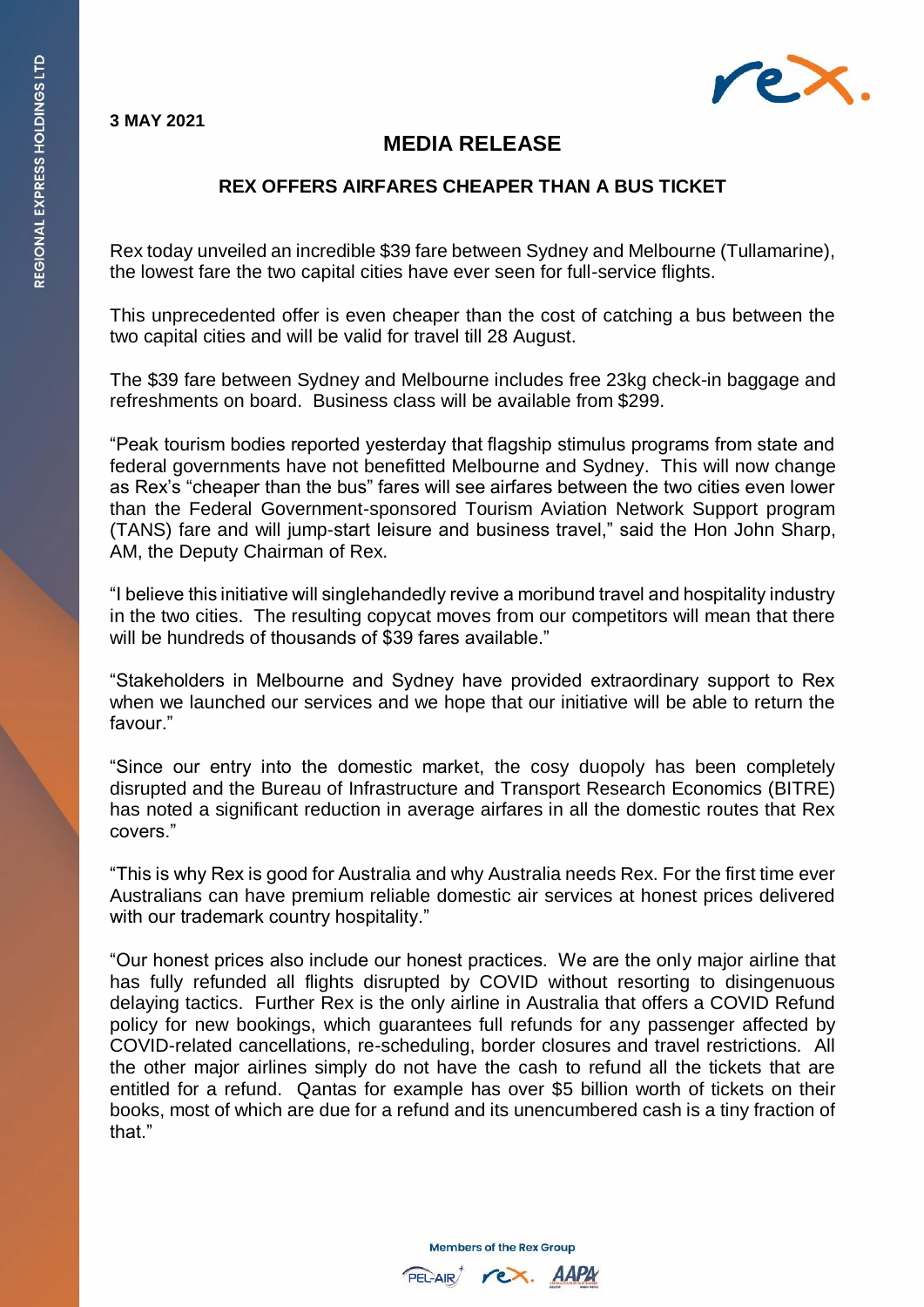**3 MAY 2021**



## **MEDIA RELEASE**

## **REX OFFERS AIRFARES CHEAPER THAN A BUS TICKET**

Rex today unveiled an incredible \$39 fare between Sydney and Melbourne (Tullamarine), the lowest fare the two capital cities have ever seen for full-service flights.

This unprecedented offer is even cheaper than the cost of catching a bus between the two capital cities and will be valid for travel till 28 August.

The \$39 fare between Sydney and Melbourne includes free 23kg check-in baggage and refreshments on board. Business class will be available from \$299.

"Peak tourism bodies reported yesterday that flagship stimulus programs from state and federal governments have not benefitted Melbourne and Sydney. This will now change as Rex's "cheaper than the bus" fares will see airfares between the two cities even lower than the Federal Government-sponsored Tourism Aviation Network Support program (TANS) fare and will jump-start leisure and business travel," said the Hon John Sharp, AM, the Deputy Chairman of Rex.

"I believe this initiative will singlehandedly revive a moribund travel and hospitality industry in the two cities. The resulting copycat moves from our competitors will mean that there will be hundreds of thousands of \$39 fares available."

"Stakeholders in Melbourne and Sydney have provided extraordinary support to Rex when we launched our services and we hope that our initiative will be able to return the favour."

"Since our entry into the domestic market, the cosy duopoly has been completely disrupted and the Bureau of Infrastructure and Transport Research Economics (BITRE) has noted a significant reduction in average airfares in all the domestic routes that Rex covers."

"This is why Rex is good for Australia and why Australia needs Rex. For the first time ever Australians can have premium reliable domestic air services at honest prices delivered with our trademark country hospitality."

"Our honest prices also include our honest practices. We are the only major airline that has fully refunded all flights disrupted by COVID without resorting to disingenuous delaying tactics. Further Rex is the only airline in Australia that offers a COVID Refund policy for new bookings, which guarantees full refunds for any passenger affected by COVID-related cancellations, re-scheduling, border closures and travel restrictions. All the other major airlines simply do not have the cash to refund all the tickets that are entitled for a refund. Qantas for example has over \$5 billion worth of tickets on their books, most of which are due for a refund and its unencumbered cash is a tiny fraction of that"

**Members of the Rex Group**